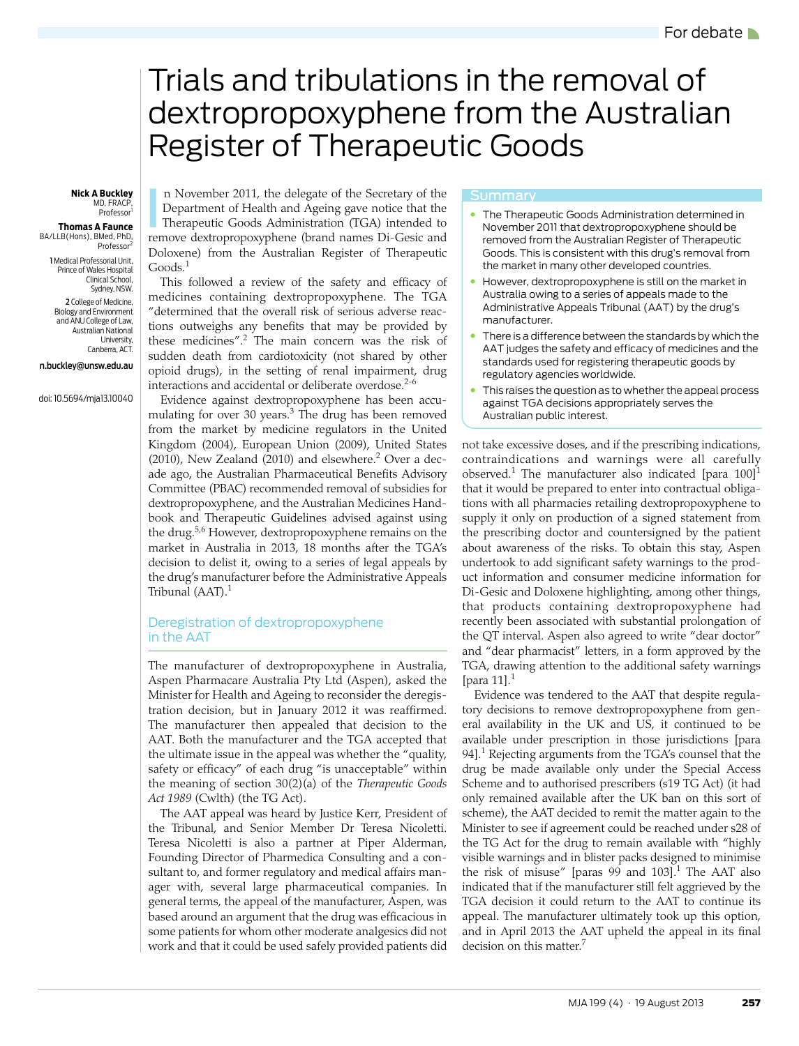## <span id="page-0-0"></span>Trials and tribulations in the removal of dextropropoxyphene from the Australian Register of Therapeutic Goods

## **Nick A Buckley<br>
MD, FRACP,<br>
Professor<sup>1</sup><br>
<b>Thomas A Faunce** MD, FRACF Professor<sup>1</sup>

BA/LLB(Hons), BMed, PhD, Professor

1 Medical Professorial Unit Prince of Wales Hospital Clinical School, Sydney, NSW.

2 College of Medicine, Biology and Environment and ANU College of Law, Australian National University, Canberra, ACT.

n.buckley@unsw.edu.au

doi: 10.5694/mja13.10040

n November 2011, the delegate of the Secretary of the Department of Health and Ageing gave notice that the Therapeutic Goods Administration (TGA) intended to remove dextropropoxyphene (brand names Di-Gesic and Doloxene) from the Australian Register of Therapeutic Goods.<sup>1</sup>

This followed a review of the safety and efficacy of medicines containing dextropropoxyphene. The TGA "determined that the overall risk of serious adverse reactions outweighs any benefits that may be provided by these medicines".<sup>2</sup> The main concern was the risk of sudden death from cardiotoxicity (not shared by other opioid drugs), in the setting of renal impairment, drug interactions and accidental or deliberate overdose.<sup>[2](#page-2-1)[-6](#page-2-2)</sup>

Evidence against dextropropoxyphene has been accu-mulating for over [3](#page-2-3)0 years.<sup>3</sup> The drug has been removed from the market by medicine regulators in the United Kingdom (2004), European Union (2009), United States  $(2010)$ , New Zealand  $(2010)$  and elsewhere.<sup>2</sup> Over a decade ago, the Australian Pharmaceutical Benefits Advisory Committee (PBAC) recommended removal of subsidies for dextropropoxyphene, and the Australian Medicines Handbook and Therapeutic Guidelines advised against using the drug.<sup>5,[6](#page-2-2)</sup> However, dextropropoxyphene remains on the market in Australia in 2013, 18 months after the TGA's decision to delist it, owing to a series of legal appeals by the drug's manufacturer before the Administrative Appeals Tribunal  $(AAT).<sup>1</sup>$  $(AAT).<sup>1</sup>$  $(AAT).<sup>1</sup>$ 

### Deregistration of dextropropoxyphene in the AAT

The manufacturer of dextropropoxyphene in Australia, Aspen Pharmacare Australia Pty Ltd (Aspen), asked the Minister for Health and Ageing to reconsider the deregistration decision, but in January 2012 it was reaffirmed. The manufacturer then appealed that decision to the AAT. Both the manufacturer and the TGA accepted that the ultimate issue in the appeal was whether the "quality, safety or efficacy" of each drug "is unacceptable" within the meaning of section 30(2)(a) of the *Therapeutic Goods Act 1989* (Cwlth) (the TG Act).

Founding Director of Pharmedica Consulting and a con-Founding Director of Finalmedical Consulting and a consulting under the substitution and former regulatory and medical affairs man-Sunant to, and former regulatory and included analysis manner ager with, several large pharmaceutical companies. In where  $\vert$  as The AAT appeal was heard by Justice Kerr, President of the Tribunal, and Senior Member Dr Teresa Nicoletti. Teresa Nicoletti is also a partner at Piper Alderman, general terms, the appeal of the manufacturer, Aspen, was based around an argument that the drug was efficacious in some patients for whom other moderate analgesics did not work and that it could be used safely provided patients did

#### **Summary**

- The Therapeutic Goods Administration determined in November 2011 that dextropropoxyphene should be removed from the Australian Register of Therapeutic Goods. This is consistent with this drug's removal from the market in many other developed countries.
- However, dextropropoxyphene is still on the market in Australia owing to a series of appeals made to the Administrative Appeals Tribunal (AAT) by the drug's manufacturer.
- There is a difference between the standards by which the AAT judges the safety and efficacy of medicines and the standards used for registering therapeutic goods by regulatory agencies worldwide.
- This raises the question as to whether the appeal process against TGA decisions appropriately serves the Australian public interest.

not take excessive doses, and if the prescribing indications, contraindications and warnings were all carefully observed.<sup>[1](#page-2-0)</sup> The manufacturer also indicated [para 100]<sup>1</sup> that it would be prepared to enter into contractual obligations with all pharmacies retailing dextropropoxyphene to supply it only on production of a signed statement from the prescribing doctor and countersigned by the patient about awareness of the risks. To obtain this stay, Aspen undertook to add significant safety warnings to the product information and consumer medicine information for Di-Gesic and Doloxene highlighting, among other things, that products containing dextropropoxyphene had recently been associated with substantial prolongation of the QT interval. Aspen also agreed to write "dear doctor" and "dear pharmacist" letters, in a form approved by the TGA, drawing attention to the additional safety warnings [para  $11$  $11$ ].<sup>1</sup>

Evidence was tendered to the AAT that despite regulatory decisions to remove dextropropoxyphene from general availability in the UK and US, it continued to be available under prescription in those jurisdictions [para 94]. $^1$  $^1$  Rejecting arguments from the TGA's counsel that the drug be made available only under the Special Access Scheme and to authorised prescribers (s19 TG Act) (it had only remained available after the UK ban on this sort of scheme), the AAT decided to remit the matter again to the Minister to see if agreement could be reached under s28 of the TG Act for the drug to remain available with "highly visible warnings and in blister packs designed to minimise the risk of misuse" [paras 99 and  $103$ ].<sup>1</sup> The AAT also indicated that if the manufacturer still felt aggrieved by the TGA decision it could return to the AAT to continue its appeal. The manufacturer ultimately took up this option, and in April 2013 the AAT upheld the appeal in its final decision on this matter.<sup>[7](#page-3-0)</sup>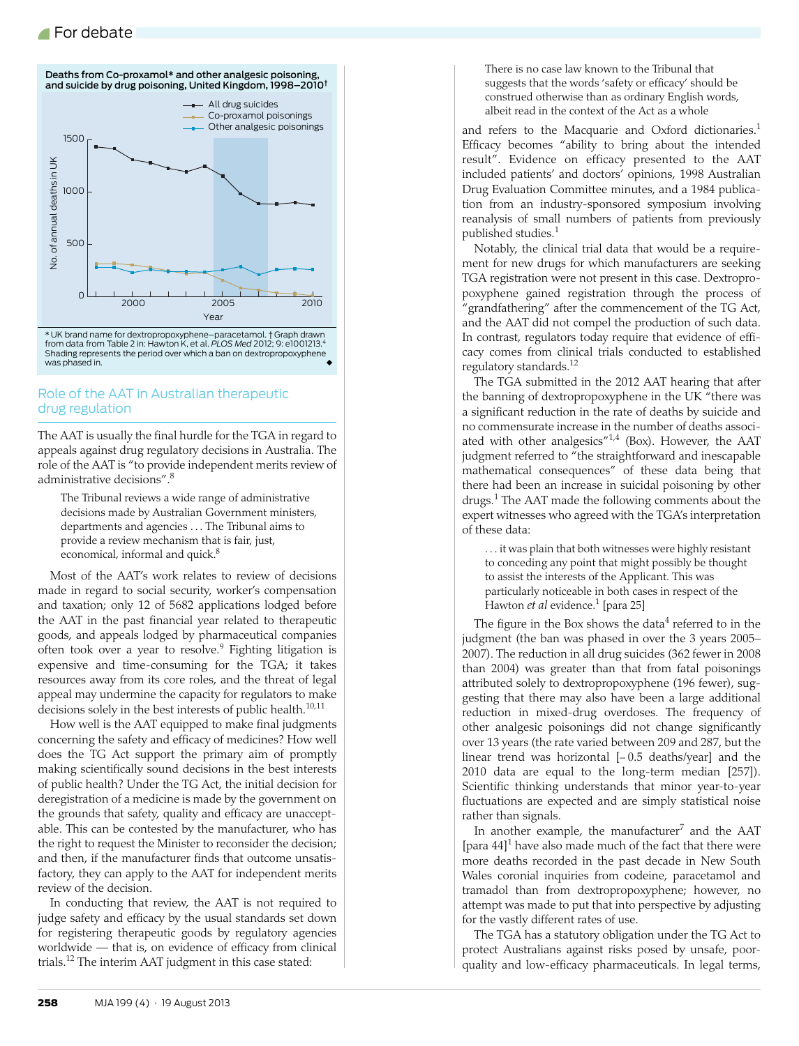



#### Role of the AAT in Australian therapeutic drug regulation

The AAT is usually the final hurdle for the TGA in regard to appeals against drug regulatory decisions in Australia. The role of the AAT is "to provide independent merits review of administrative decisions".<sup>[8](#page-3-2)</sup>

The Tribunal reviews a wide range of administrative decisions made by Australian Government ministers, departments and agencies . . . The Tribunal aims to provide a review mechanism that is fair, just, economical, informal and quick.<sup>[8](#page-3-2)</sup>

Most of the AAT's work relates to review of decisions made in regard to social security, worker's compensation and taxation; only 12 of 5682 applications lodged before the AAT in the past financial year related to therapeutic goods, and appeals lodged by pharmaceutical companies often took over a year to resolve.<sup>[9](#page-3-3)</sup> Fighting litigation is expensive and time-consuming for the TGA; it takes resources away from its core roles, and the threat of legal appeal may undermine the capacity for regulators to make decisions solely in the best interests of public health.<sup>[10](#page-3-4),[11](#page-3-5)</sup>

How well is the AAT equipped to make final judgments concerning the safety and efficacy of medicines? How well does the TG Act support the primary aim of promptly making scientifically sound decisions in the best interests of public health? Under the TG Act, the initial decision for deregistration of a medicine is made by the government on the grounds that safety, quality and efficacy are unacceptable. This can be contested by the manufacturer, who has the right to request the Minister to reconsider the decision; and then, if the manufacturer finds that outcome unsatisfactory, they can apply to the AAT for independent merits review of the decision.

In conducting that review, the AAT is not required to judge safety and efficacy by the usual standards set down for registering therapeutic goods by regulatory agencies worldwide — that is, on evidence of efficacy from clinical trials[.12](#page-3-6) The interim AAT judgment in this case stated:

There is no case law known to the Tribunal that suggests that the words 'safety or efficacy' should be construed otherwise than as ordinary English words, albeit read in the context of the Act as a whole

and refers to the Macquarie and Oxford dictionaries.<sup>[1](#page-2-0)</sup> Efficacy becomes "ability to bring about the intended result". Evidence on efficacy presented to the AAT included patients' and doctors' opinions, 1998 Australian Drug Evaluation Committee minutes, and a 1984 publication from an industry-sponsored symposium involving reanalysis of small numbers of patients from previously published studies[.1](#page-2-0)

Notably, the clinical trial data that would be a requirement for new drugs for which manufacturers are seeking TGA registration were not present in this case. Dextropropoxyphene gained registration through the process of "grandfathering" after the commencement of the TG Act, and the AAT did not compel the production of such data. In contrast, regulators today require that evidence of efficacy comes from clinical trials conducted to established regulatory standards.[12](#page-3-6)

The TGA submitted in the 2012 AAT hearing that after the banning of dextropropoxyphene in the UK "there was a significant reduction in the rate of deaths by suicide and no commensurate increase in the number of deaths associ-ated with other analgesics"<sup>[1,](#page-2-0)4</sup> (Box). However, the AAT judgment referred to "the straightforward and inescapable mathematical consequences" of these data being that there had been an increase in suicidal poisoning by other drugs.<sup>[1](#page-2-0)</sup> The AAT made the following comments about the expert witnesses who agreed with the TGA's interpretation of these data:

. . . it was plain that both witnesses were highly resistant to conceding any point that might possibly be thought to assist the interests of the Applicant. This was particularly noticeable in both cases in respect of the Hawton *et al* evidence.<sup>[1](#page-2-0)</sup> [para 25]

The figure in the Box shows the data $4$  referred to in the judgment (the ban was phased in over the 3 years 2005– 2007). The reduction in all drug suicides (362 fewer in 2008 than 2004) was greater than that from fatal poisonings attributed solely to dextropropoxyphene (196 fewer), suggesting that there may also have been a large additional reduction in mixed-drug overdoses. The frequency of other analgesic poisonings did not change significantly over 13 years (the rate varied between 209 and 287, but the linear trend was horizontal  $[-0.5$  deaths/year] and the 2010 data are equal to the long-term median [257]). Scientific thinking understands that minor year-to-year fluctuations are expected and are simply statistical noise rather than signals.

In another example, the manufacturer $^7$  $^7$  and the AAT [para  $44$ ]<sup>[1](#page-2-0)</sup> have also made much of the fact that there were more deaths recorded in the past decade in New South Wales coronial inquiries from codeine, paracetamol and tramadol than from dextropropoxyphene; however, no attempt was made to put that into perspective by adjusting for the vastly different rates of use.

The TGA has a statutory obligation under the TG Act to protect Australians against risks posed by unsafe, poorquality and low-efficacy pharmaceuticals. In legal terms,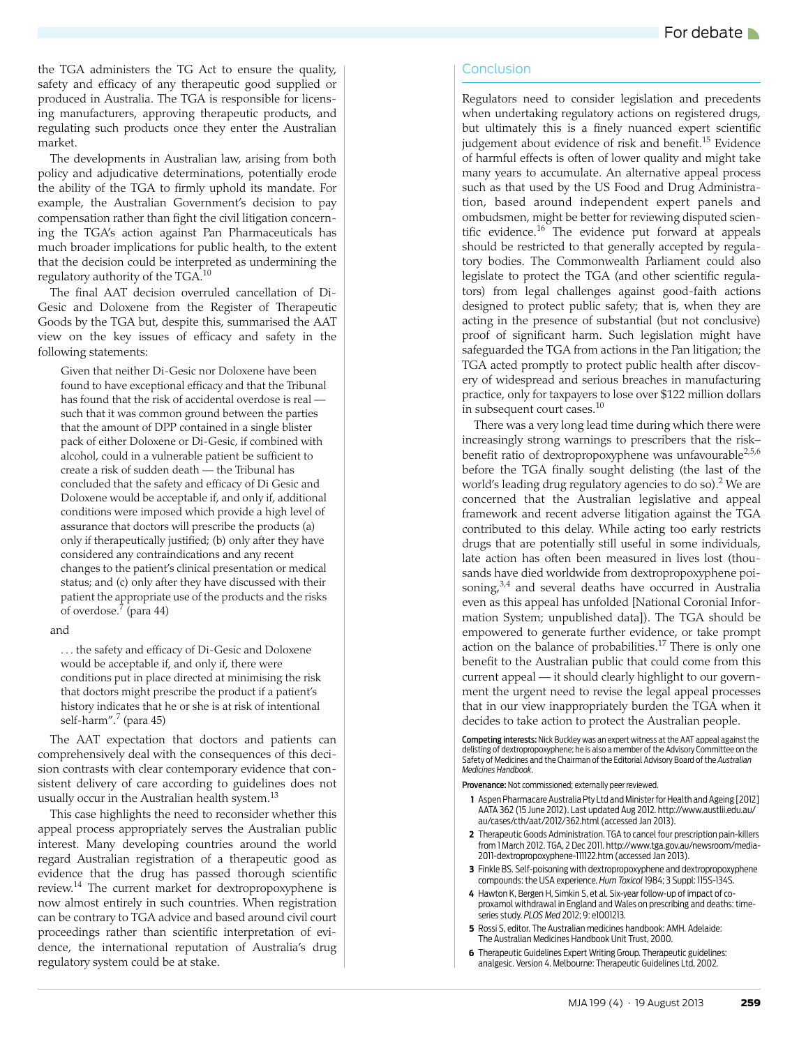the TGA administers the TG Act to ensure the quality, safety and efficacy of any therapeutic good supplied or produced in Australia. The TGA is responsible for licensing manufacturers, approving therapeutic products, and regulating such products once they enter the Australian market.

The developments in Australian law, arising from both policy and adjudicative determinations, potentially erode the ability of the TGA to firmly uphold its mandate. For example, the Australian Government's decision to pay compensation rather than fight the civil litigation concerning the TGA's action against Pan Pharmaceuticals has much broader implications for public health, to the extent that the decision could be interpreted as undermining the regulatory authority of the TGA[.10](#page-3-4)

The final AAT decision overruled cancellation of Di-Gesic and Doloxene from the Register of Therapeutic Goods by the TGA but, despite this, summarised the AAT view on the key issues of efficacy and safety in the following statements:

Given that neither Di-Gesic nor Doloxene have been found to have exceptional efficacy and that the Tribunal has found that the risk of accidental overdose is real such that it was common ground between the parties that the amount of DPP contained in a single blister pack of either Doloxene or Di-Gesic, if combined with alcohol, could in a vulnerable patient be sufficient to create a risk of sudden death — the Tribunal has concluded that the safety and efficacy of Di Gesic and Doloxene would be acceptable if, and only if, additional conditions were imposed which provide a high level of assurance that doctors will prescribe the products (a) only if therapeutically justified; (b) only after they have considered any contraindications and any recent changes to the patient's clinical presentation or medical status; and (c) only after they have discussed with their patient the appropriate use of the products and the risks of overdose.<sup>[7](#page-3-0)</sup> (para 44)

#### and

. . . the safety and efficacy of Di-Gesic and Doloxene would be acceptable if, and only if, there were conditions put in place directed at minimising the risk that doctors might prescribe the product if a patient's history indicates that he or she is at risk of intentional self-harm".<sup>[7](#page-3-0)</sup> (para 45)

The AAT expectation that doctors and patients can comprehensively deal with the consequences of this decision contrasts with clear contemporary evidence that consistent delivery of care according to guidelines does not usually occur in the Australian health system.<sup>13</sup>

This case highlights the need to reconsider whether this appeal process appropriately serves the Australian public interest. Many developing countries around the world regard Australian registration of a therapeutic good as evidence that the drug has passed thorough scientific review.[14](#page-3-8) The current market for dextropropoxyphene is now almost entirely in such countries. When registration can be contrary to TGA advice and based around civil court proceedings rather than scientific interpretation of evidence, the international reputation of Australia's drug regulatory system could be at stake.

#### Conclusion

Regulators need to consider legislation and precedents when undertaking regulatory actions on registered drugs, but ultimately this is a finely nuanced expert scientific judgement about evidence of risk and benefit.<sup>15</sup> Evidence of harmful effects is often of lower quality and might take many years to accumulate. An alternative appeal process such as that used by the US Food and Drug Administration, based around independent expert panels and ombudsmen, might be better for reviewing disputed scien-tific evidence.<sup>[16](#page-3-10)</sup> The evidence put forward at appeals should be restricted to that generally accepted by regulatory bodies. The Commonwealth Parliament could also legislate to protect the TGA (and other scientific regulators) from legal challenges against good-faith actions designed to protect public safety; that is, when they are acting in the presence of substantial (but not conclusive) proof of significant harm. Such legislation might have safeguarded the TGA from actions in the Pan litigation; the TGA acted promptly to protect public health after discovery of widespread and serious breaches in manufacturing practice, only for taxpayers to lose over \$122 million dollars in subsequent court cases.<sup>[10](#page-3-4)</sup>

There was a very long lead time during which there were increasingly strong warnings to prescribers that the risk– benefit ratio of dextropropoxyphene was unfavourable<sup>[2,](#page-2-1)[5](#page-2-4),[6](#page-2-2)</sup> before the TGA finally sought delisting (the last of the world's leading drug regulatory agencies to do so).<sup>[2](#page-2-1)</sup> We are concerned that the Australian legislative and appeal framework and recent adverse litigation against the TGA contributed to this delay. While acting too early restricts drugs that are potentially still useful in some individuals, late action has often been measured in lives lost (thousands have died worldwide from dextropropoxyphene poisoning, $3,4$  $3,4$  and several deaths have occurred in Australia even as this appeal has unfolded [National Coronial Information System; unpublished data]). The TGA should be empowered to generate further evidence, or take prompt action on the balance of probabilities.<sup>17</sup> There is only one benefit to the Australian public that could come from this current appeal — it should clearly highlight to our government the urgent need to revise the legal appeal processes that in our view inappropriately burden the TGA when it decides to take action to protect the Australian people.

Competing interests: Nick Buckley was an expert witness at the AAT appeal against the delisting of dextropropoxyphene; he is also a member of the Advisory Committee on the Safety of Medicines and the Chairman of the Editorial Advisory Board of the *Australian Medicines Handbook*.

Provenance: Not commissioned; externally peer reviewed.

- <span id="page-2-0"></span>**1** Aspen Pharmacare Australia Pty Ltd and Minister for Health and Ageing [2012] AATA 362 (15 June 2012). Last updated Aug 2012. http://www.austlii.edu.au/ au/cases/cth/aat/2012/362.html (accessed Jan 2013).
- <span id="page-2-1"></span>**2** Therapeutic Goods Administration. TGA to cancel four prescription pain-killers from 1 March 2012. TGA, 2 Dec 2011. http://www.tga.gov.au/newsroom/media-2011-dextropropoxyphene-111122.htm (accessed Jan 2013).
- <span id="page-2-3"></span>**3** Finkle BS. Self-poisoning with dextropropoxyphene and dextropropoxyphene compounds: the USA experience. *Hum Toxicol* 1984; 3 Suppl: 115S-134S.
- <span id="page-2-5"></span>**4** Hawton K, Bergen H, Simkin S, et al. Six-year follow-up of impact of coproxamol withdrawal in England and Wales on prescribing and deaths: timeseries study. *PLOS Med* 2012; 9: e1001213.
- <span id="page-2-4"></span>**5** Rossi S, editor. The Australian medicines handbook: AMH. Adelaide: The Australian Medicines Handbook Unit Trust, 2000.
- <span id="page-2-2"></span>**6** Therapeutic Guidelines Expert Writing Group. Therapeutic guidelines: analgesic. Version 4. Melbourne: Therapeutic Guidelines Ltd, 2002.